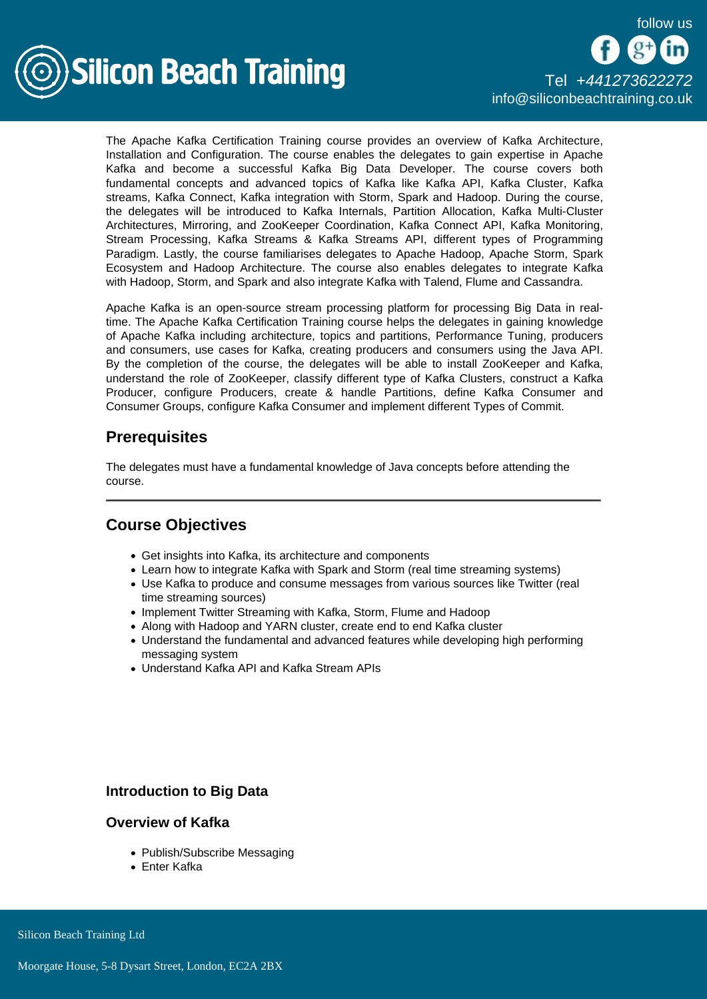

[Tel +44](tel:+441273622272)1273622272 [info@siliconbeachtraining.co.uk](/var/www/html/siliconbeachtraining.co.uk/public/mailTo:info@siliconbeachtraining.co.uk)

The Apache Kafka Certification Training course provides an overview of Kafka Architecture, Installation and Configuration. The course enables the delegates to gain expertise in Apache Kafka and become a successful Kafka Big Data Developer. The course covers both fundamental concepts and advanced topics of Kafka like Kafka API, Kafka Cluster, Kafka streams, Kafka Connect, Kafka integration with Storm, Spark and Hadoop. During the course, the delegates will be introduced to Kafka Internals, Partition Allocation, Kafka Multi-Cluster Architectures, Mirroring, and ZooKeeper Coordination, Kafka Connect API, Kafka Monitoring, Stream Processing, Kafka Streams & Kafka Streams API, different types of Programming Paradigm. Lastly, the course familiarises delegates to Apache Hadoop, Apache Storm, Spark Ecosystem and Hadoop Architecture. The course also enables delegates to integrate Kafka with Hadoop, Storm, and Spark and also integrate Kafka with Talend, Flume and Cassandra.

Apache Kafka is an open-source stream processing platform for processing Big Data in realtime. The Apache Kafka Certification Training course helps the delegates in gaining knowledge of Apache Kafka including architecture, topics and partitions, Performance Tuning, producers and consumers, use cases for Kafka, creating producers and consumers using the Java API. By the completion of the course, the delegates will be able to install ZooKeeper and Kafka, understand the role of ZooKeeper, classify different type of Kafka Clusters, construct a Kafka Producer, configure Producers, create & handle Partitions, define Kafka Consumer and Consumer Groups, configure Kafka Consumer and implement different Types of Commit.

# **Prerequisites**

The delegates must have a fundamental knowledge of Java concepts before attending the course.

# Course Objectives

- Get insights into Kafka, its architecture and components
- Learn how to integrate Kafka with Spark and Storm (real time streaming systems)
- Use Kafka to produce and consume messages from various sources like Twitter (real time streaming sources)
- Implement Twitter Streaming with Kafka, Storm, Flume and Hadoop
- Along with Hadoop and YARN cluster, create end to end Kafka cluster
- Understand the fundamental and advanced features while developing high performing messaging system
- Understand Kafka API and Kafka Stream APIs

Introduction to Big Data

#### Overview of Kafka

- Publish/Subscribe Messaging
- Enter Kafka

Silicon Beach Training Ltd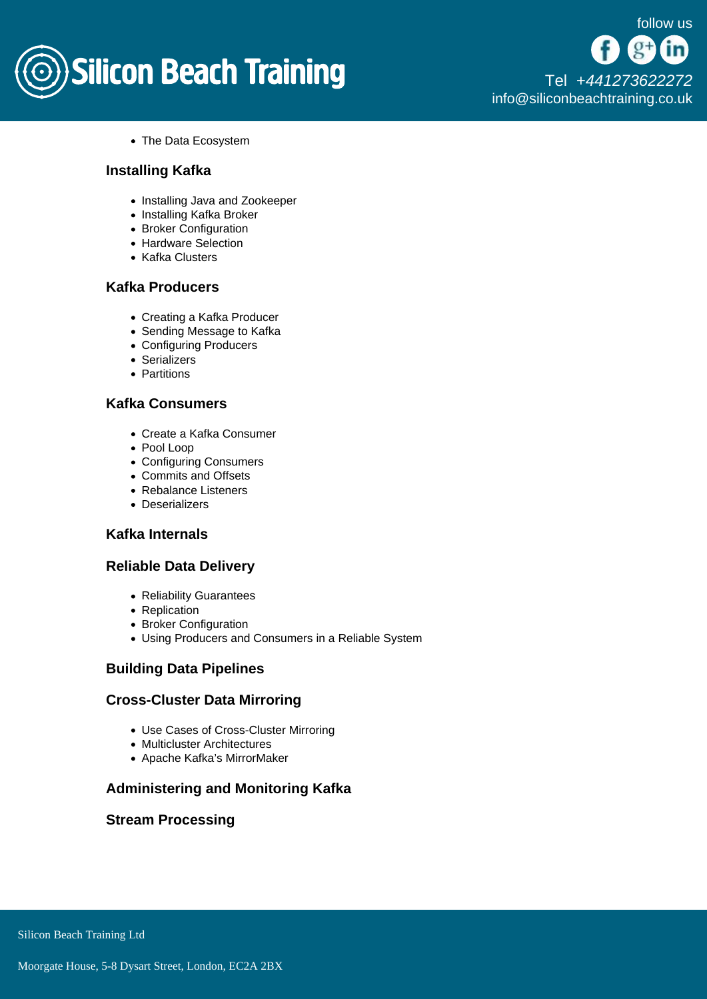

[Tel +44](tel:+441273622272)1273622272 [info@siliconbeachtraining.co.uk](/var/www/html/siliconbeachtraining.co.uk/public/mailTo:info@siliconbeachtraining.co.uk)

• The Data Ecosystem

### Installing Kafka

- Installing Java and Zookeeper
- Installing Kafka Broker
- Broker Configuration
- Hardware Selection
- Kafka Clusters

# Kafka Producers

- Creating a Kafka Producer
- Sending Message to Kafka
- Configuring Producers
- Serializers
- Partitions

# Kafka Consumers

- Create a Kafka Consumer
- Pool Loop
- Configuring Consumers
- Commits and Offsets
- Rebalance Listeners
- Deserializers

#### Kafka Internals

#### Reliable Data Delivery

- Reliability Guarantees
- Replication
- Broker Configuration
- Using Producers and Consumers in a Reliable System

#### Building Data Pipelines

#### Cross-Cluster Data Mirroring

- Use Cases of Cross-Cluster Mirroring
- Multicluster Architectures
- Apache Kafka's MirrorMaker

#### Administering and Monitoring Kafka

#### Stream Processing